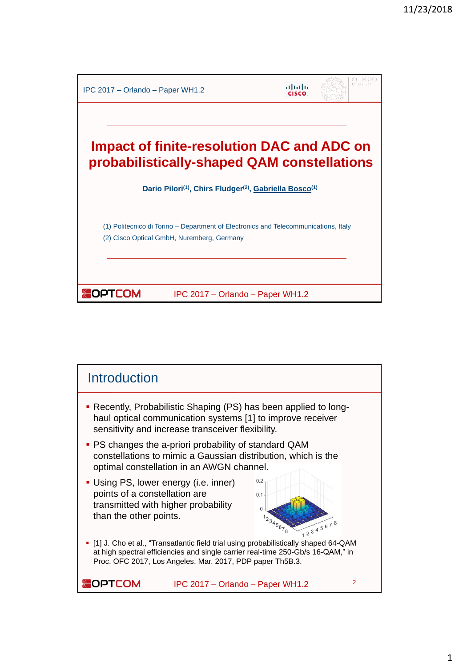

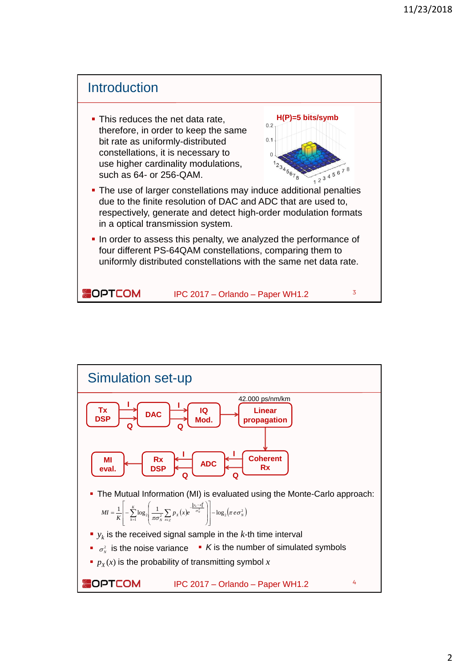

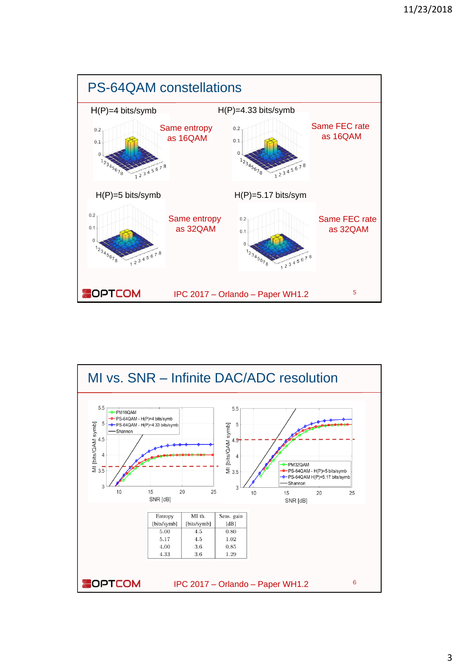

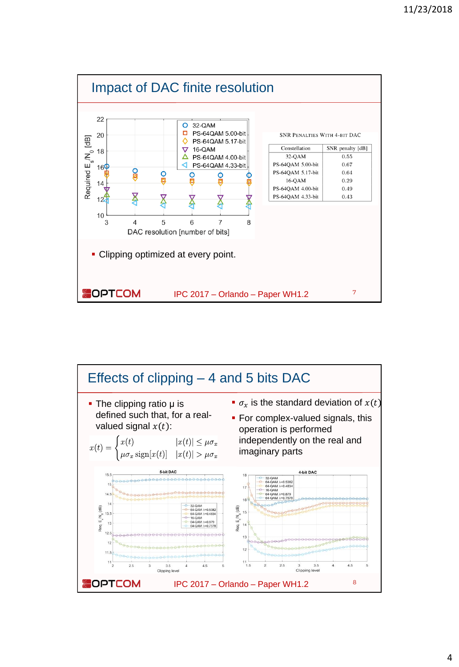

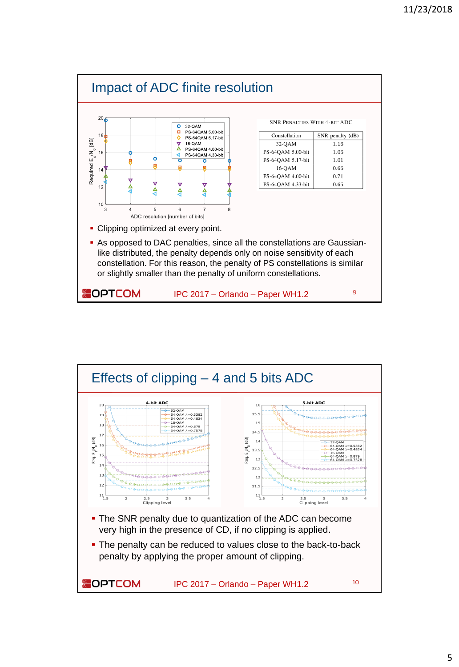

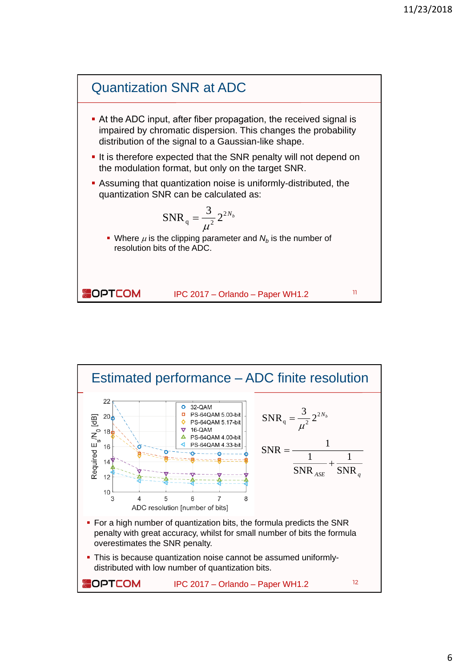